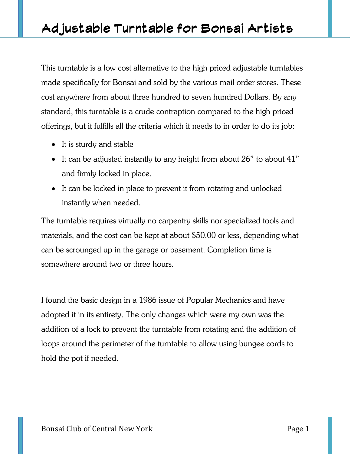This turntable is a low cost alternative to the high priced adjustable turntables made specifically for Bonsai and sold by the various mail order stores. These cost anywhere from about three hundred to seven hundred Dollars. By any standard, this turntable is a crude contraption compared to the high priced offerings, but it fulfills all the criteria which it needs to in order to do its job:

- It is sturdy and stable
- It can be adjusted instantly to any height from about 26" to about 41" and firmly locked in place.
- It can be locked in place to prevent it from rotating and unlocked instantly when needed.

The turntable requires virtually no carpentry skills nor specialized tools and materials, and the cost can be kept at about \$50.00 or less, depending what can be scrounged up in the garage or basement. Completion time is somewhere around two or three hours.

I found the basic design in a 1986 issue of Popular Mechanics and have adopted it in its entirety. The only changes which were my own was the addition of a lock to prevent the turntable from rotating and the addition of loops around the perimeter of the turntable to allow using bungee cords to hold the pot if needed.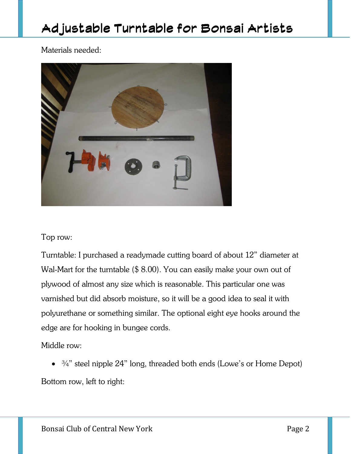Materials needed:



#### Top row:

Turntable: I purchased a readymade cutting board of about 12" diameter at Wal-Mart for the turntable (\$ 8.00). You can easily make your own out of plywood of almost any size which is reasonable. This particular one was varnished but did absorb moisture, so it will be a good idea to seal it with polyurethane or something similar. The optional eight eye hooks around the edge are for hooking in bungee cords.

Middle row:

 $\bullet$   $\frac{3}{4}$ " steel nipple 24" long, threaded both ends (Lowe's or Home Depot)

Bottom row, left to right: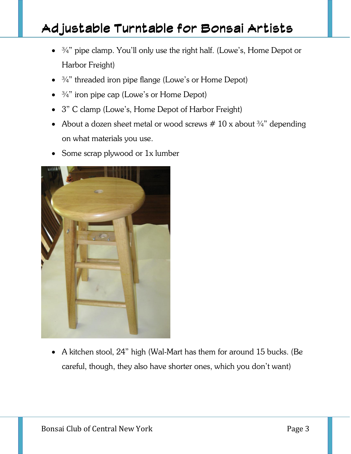- $\bullet$   $\frac{3}{4}$ " pipe clamp. You'll only use the right half. (Lowe's, Home Depot or Harbor Freight)
- $\bullet$   $\frac{3}{4}$ " threaded iron pipe flange (Lowe's or Home Depot)
- $\bullet$   $\frac{3}{4}$ " iron pipe cap (Lowe's or Home Depot)
- 3" C clamp (Lowe's, Home Depot of Harbor Freight)
- About a dozen sheet metal or wood screws  $# 10 x$  about  $\frac{3}{4}$ " depending on what materials you use.
- Some scrap plywood or 1x lumber



 A kitchen stool, 24" high (Wal-Mart has them for around 15 bucks. (Be careful, though, they also have shorter ones, which you don't want)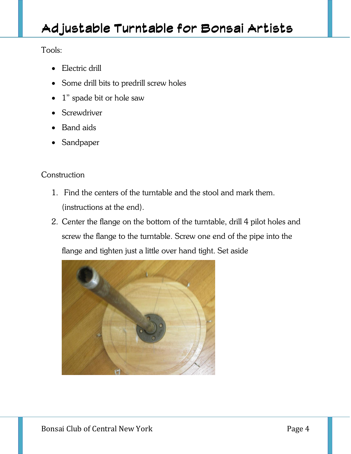Tools:

- Electric drill
- Some drill bits to predrill screw holes
- 1" spade bit or hole saw
- Screwdriver
- Band aids
- Sandpaper

#### **Construction**

- 1. Find the centers of the turntable and the stool and mark them. (instructions at the end).
- 2. Center the flange on the bottom of the turntable, drill 4 pilot holes and screw the flange to the turntable. Screw one end of the pipe into the flange and tighten just a little over hand tight. Set aside

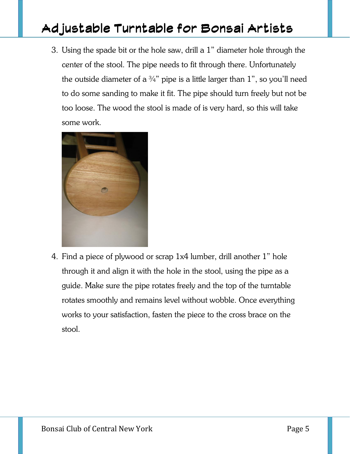3. Using the spade bit or the hole saw, drill a 1" diameter hole through the center of the stool. The pipe needs to fit through there. Unfortunately the outside diameter of a  $\frac{3}{4}$ " pipe is a little larger than 1", so you'll need to do some sanding to make it fit. The pipe should turn freely but not be too loose. The wood the stool is made of is very hard, so this will take some work.



4. Find a piece of plywood or scrap 1x4 lumber, drill another 1" hole through it and align it with the hole in the stool, using the pipe as a guide. Make sure the pipe rotates freely and the top of the turntable rotates smoothly and remains level without wobble. Once everything works to your satisfaction, fasten the piece to the cross brace on the stool.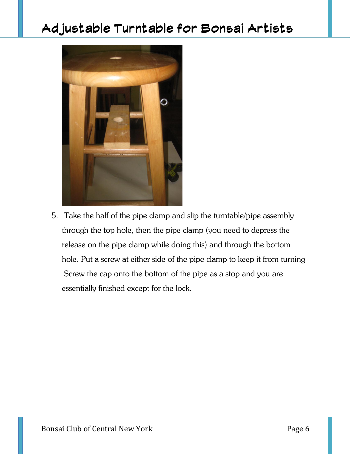

5. Take the half of the pipe clamp and slip the turntable/pipe assembly through the top hole, then the pipe clamp (you need to depress the release on the pipe clamp while doing this) and through the bottom hole. Put a screw at either side of the pipe clamp to keep it from turning .Screw the cap onto the bottom of the pipe as a stop and you are essentially finished except for the lock.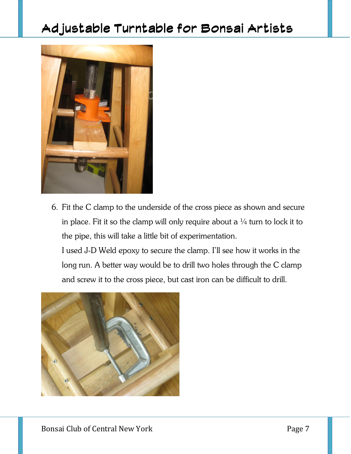

6. Fit the C clamp to the underside of the cross piece as shown and secure in place. Fit it so the clamp will only require about a  $\frac{1}{4}$  turn to lock it to the pipe, this will take a little bit of experimentation.

I used J-D Weld epoxy to secure the clamp. I'll see how it works in the long run. A better way would be to drill two holes through the C clamp and screw it to the cross piece, but cast iron can be difficult to drill.

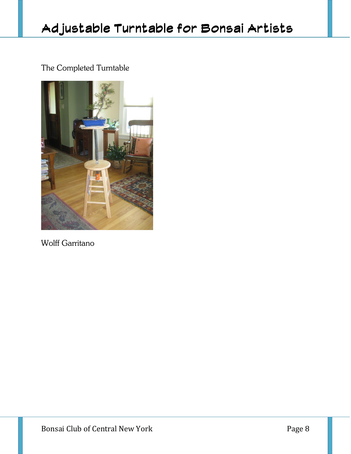### The Completed Turntable



Wolff Garritano